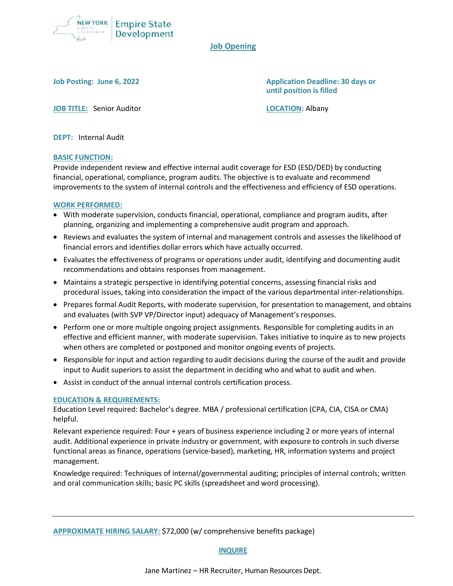

# **Job Opening**

**Job Posting: June 6, 2022 Application Deadline: 30 days or until position is filled**

**JOB TITLE:** Senior Auditor **LOCATION:** Albany

**DEPT:** Internal Audit

### **BASIC FUNCTION:**

Provide independent review and effective internal audit coverage for ESD (ESD/DED) by conducting financial, operational, compliance, program audits. The objective is to evaluate and recommend improvements to the system of internal controls and the effectiveness and efficiency of ESD operations.

### **WORK PERFORMED:**

- With moderate supervision, conducts financial, operational, compliance and program audits, after planning, organizing and implementing a comprehensive audit program and approach.
- Reviews and evaluates the system of internal and management controls and assesses the likelihood of financial errors and identifies dollar errors which have actually occurred.
- Evaluates the effectiveness of programs or operations under audit, identifying and documenting audit recommendations and obtains responses from management.
- Maintains a strategic perspective in identifying potential concerns, assessing financial risks and procedural issues, taking into consideration the impact of the various departmental inter-relationships.
- Prepares formal Audit Reports, with moderate supervision, for presentation to management, and obtains and evaluates (with SVP VP/Director input) adequacy of Management's responses.
- Perform one or more multiple ongoing project assignments. Responsible for completing audits in an effective and efficient manner, with moderate supervision. Takes initiative to inquire as to new projects when others are completed or postponed and monitor ongoing events of projects.
- Responsible for input and action regarding to audit decisions during the course of the audit and provide input to Audit superiors to assist the department in deciding who and what to audit and when.
- Assist in conduct of the annual internal controls certification process.

## **EDUCATION & REQUIREMENTS:**

Education Level required: Bachelor's degree. MBA / professional certification (CPA, CIA, CISA or CMA) helpful.

Relevant experience required: Four + years of business experience including 2 or more years of internal audit. Additional experience in private industry or government, with exposure to controls in such diverse functional areas as finance, operations (service-based), marketing, HR, information systems and project management.

Knowledge required: Techniques of internal/governmental auditing; principles of internal controls; written and oral communication skills; basic PC skills (spreadsheet and word processing).

**APPROXIMATE HIRING SALARY:** \$72,000 (w/ comprehensive benefits package)

#### **INQUIRE**